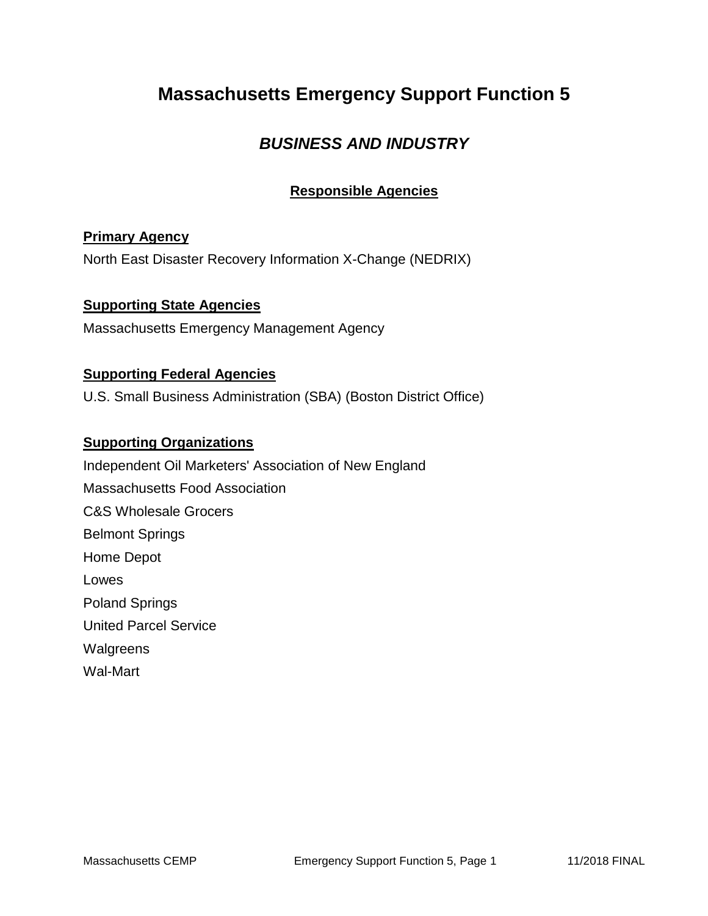## **Massachusetts Emergency Support Function 5**

### *BUSINESS AND INDUSTRY*

### **Responsible Agencies**

#### **Primary Agency**

North East Disaster Recovery Information X-Change (NEDRIX)

### **Supporting State Agencies**

Massachusetts Emergency Management Agency

#### **Supporting Federal Agencies**

U.S. Small Business Administration (SBA) (Boston District Office)

#### **Supporting Organizations**

Independent Oil Marketers' Association of New England Massachusetts Food Association C&S Wholesale Grocers Belmont Springs Home Depot Lowes Poland Springs United Parcel Service **Walgreens** Wal-Mart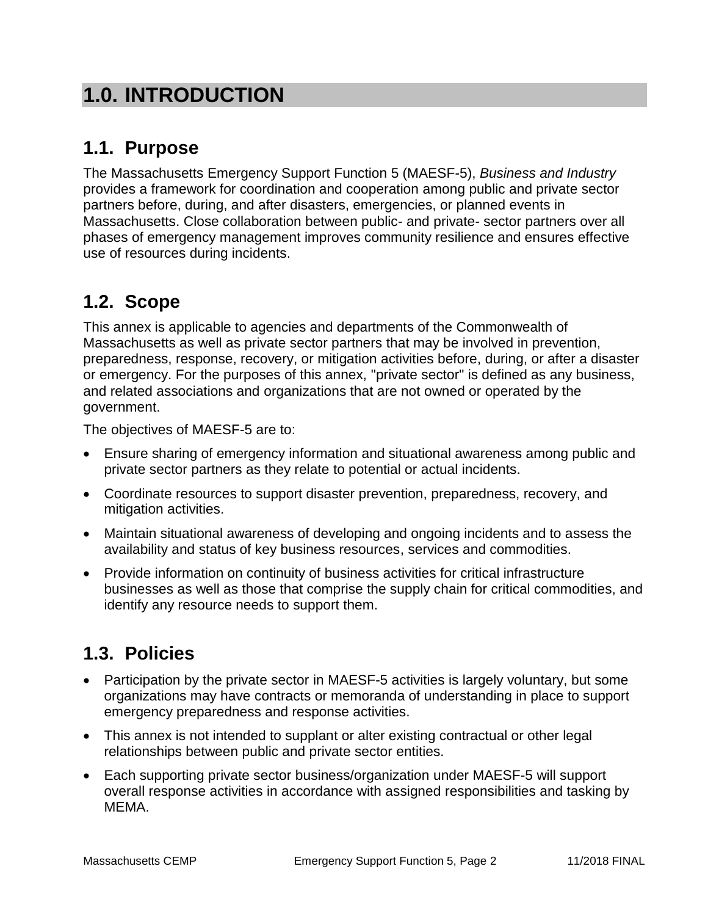# **1.0. INTRODUCTION**

## **1.1. Purpose**

The Massachusetts Emergency Support Function 5 (MAESF-5), *Business and Industry* provides a framework for coordination and cooperation among public and private sector partners before, during, and after disasters, emergencies, or planned events in Massachusetts. Close collaboration between public- and private- sector partners over all phases of emergency management improves community resilience and ensures effective use of resources during incidents.

## **1.2. Scope**

This annex is applicable to agencies and departments of the Commonwealth of Massachusetts as well as private sector partners that may be involved in prevention, preparedness, response, recovery, or mitigation activities before, during, or after a disaster or emergency. For the purposes of this annex, "private sector" is defined as any business, and related associations and organizations that are not owned or operated by the government.

The objectives of MAESF-5 are to:

- Ensure sharing of emergency information and situational awareness among public and private sector partners as they relate to potential or actual incidents.
- Coordinate resources to support disaster prevention, preparedness, recovery, and mitigation activities.
- Maintain situational awareness of developing and ongoing incidents and to assess the availability and status of key business resources, services and commodities.
- Provide information on continuity of business activities for critical infrastructure businesses as well as those that comprise the supply chain for critical commodities, and identify any resource needs to support them.

## **1.3. Policies**

- Participation by the private sector in MAESF-5 activities is largely voluntary, but some organizations may have contracts or memoranda of understanding in place to support emergency preparedness and response activities.
- This annex is not intended to supplant or alter existing contractual or other legal relationships between public and private sector entities.
- Each supporting private sector business/organization under MAESF-5 will support overall response activities in accordance with assigned responsibilities and tasking by MEMA.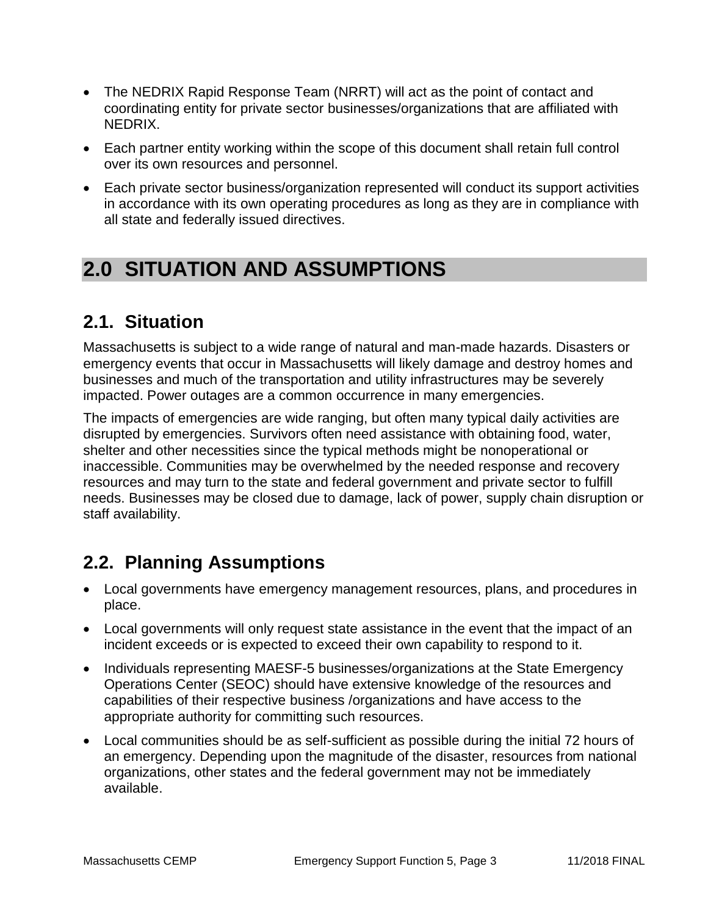- The NEDRIX Rapid Response Team (NRRT) will act as the point of contact and coordinating entity for private sector businesses/organizations that are affiliated with NEDRIX.
- Each partner entity working within the scope of this document shall retain full control over its own resources and personnel.
- Each private sector business/organization represented will conduct its support activities in accordance with its own operating procedures as long as they are in compliance with all state and federally issued directives.

# **2.0 SITUATION AND ASSUMPTIONS**

### **2.1. Situation**

Massachusetts is subject to a wide range of natural and man-made hazards. Disasters or emergency events that occur in Massachusetts will likely damage and destroy homes and businesses and much of the transportation and utility infrastructures may be severely impacted. Power outages are a common occurrence in many emergencies.

The impacts of emergencies are wide ranging, but often many typical daily activities are disrupted by emergencies. Survivors often need assistance with obtaining food, water, shelter and other necessities since the typical methods might be nonoperational or inaccessible. Communities may be overwhelmed by the needed response and recovery resources and may turn to the state and federal government and private sector to fulfill needs. Businesses may be closed due to damage, lack of power, supply chain disruption or staff availability.

### **2.2. Planning Assumptions**

- Local governments have emergency management resources, plans, and procedures in place.
- Local governments will only request state assistance in the event that the impact of an incident exceeds or is expected to exceed their own capability to respond to it.
- Individuals representing MAESF-5 businesses/organizations at the State Emergency Operations Center (SEOC) should have extensive knowledge of the resources and capabilities of their respective business /organizations and have access to the appropriate authority for committing such resources.
- Local communities should be as self-sufficient as possible during the initial 72 hours of an emergency. Depending upon the magnitude of the disaster, resources from national organizations, other states and the federal government may not be immediately available.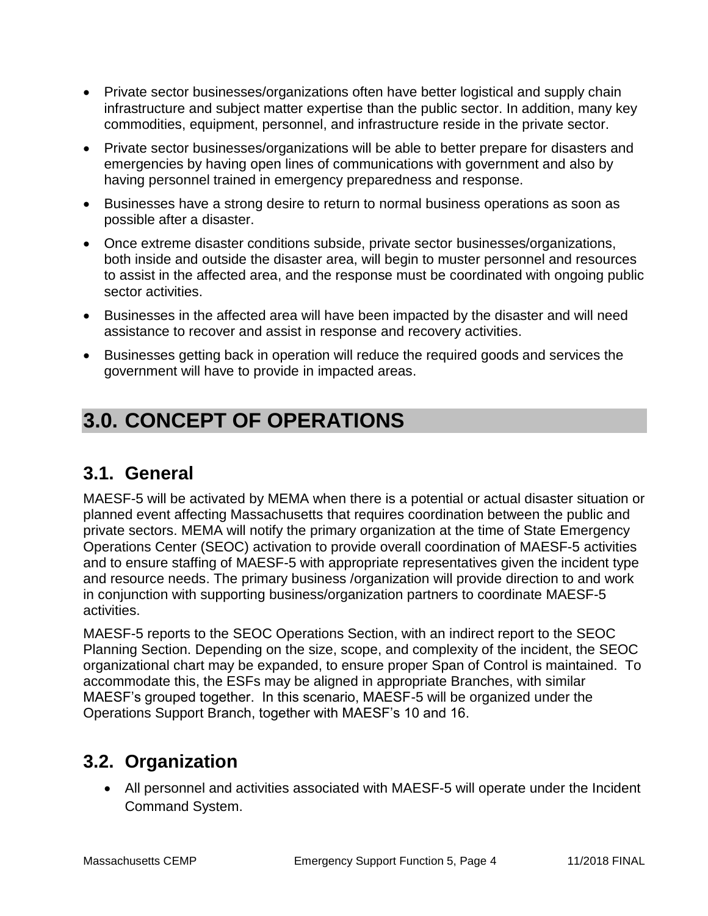- Private sector businesses/organizations often have better logistical and supply chain infrastructure and subject matter expertise than the public sector. In addition, many key commodities, equipment, personnel, and infrastructure reside in the private sector.
- Private sector businesses/organizations will be able to better prepare for disasters and emergencies by having open lines of communications with government and also by having personnel trained in emergency preparedness and response.
- Businesses have a strong desire to return to normal business operations as soon as possible after a disaster.
- Once extreme disaster conditions subside, private sector businesses/organizations, both inside and outside the disaster area, will begin to muster personnel and resources to assist in the affected area, and the response must be coordinated with ongoing public sector activities.
- Businesses in the affected area will have been impacted by the disaster and will need assistance to recover and assist in response and recovery activities.
- Businesses getting back in operation will reduce the required goods and services the government will have to provide in impacted areas.

# **3.0. CONCEPT OF OPERATIONS**

### **3.1. General**

MAESF-5 will be activated by MEMA when there is a potential or actual disaster situation or planned event affecting Massachusetts that requires coordination between the public and private sectors. MEMA will notify the primary organization at the time of State Emergency Operations Center (SEOC) activation to provide overall coordination of MAESF-5 activities and to ensure staffing of MAESF-5 with appropriate representatives given the incident type and resource needs. The primary business /organization will provide direction to and work in conjunction with supporting business/organization partners to coordinate MAESF-5 activities.

MAESF-5 reports to the SEOC Operations Section, with an indirect report to the SEOC Planning Section. Depending on the size, scope, and complexity of the incident, the SEOC organizational chart may be expanded, to ensure proper Span of Control is maintained. To accommodate this, the ESFs may be aligned in appropriate Branches, with similar MAESF's grouped together. In this scenario, MAESF-5 will be organized under the Operations Support Branch, together with MAESF's 10 and 16.

## **3.2. Organization**

 All personnel and activities associated with MAESF-5 will operate under the Incident Command System.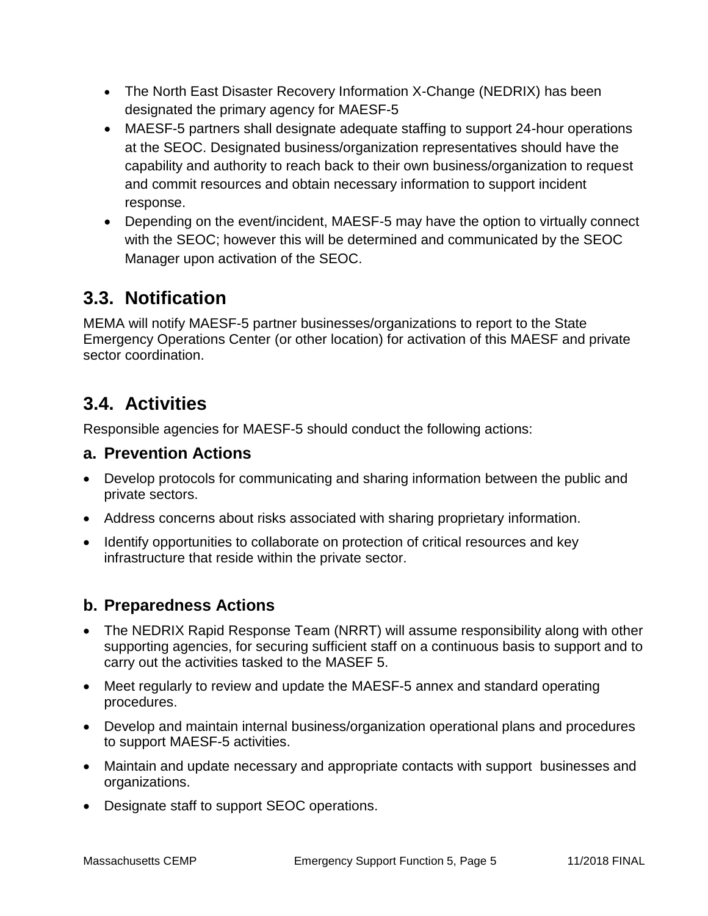- The North East Disaster Recovery Information X-Change (NEDRIX) has been designated the primary agency for MAESF-5
- MAESF-5 partners shall designate adequate staffing to support 24-hour operations at the SEOC. Designated business/organization representatives should have the capability and authority to reach back to their own business/organization to request and commit resources and obtain necessary information to support incident response.
- Depending on the event/incident, MAESF-5 may have the option to virtually connect with the SEOC; however this will be determined and communicated by the SEOC Manager upon activation of the SEOC.

## **3.3. Notification**

MEMA will notify MAESF-5 partner businesses/organizations to report to the State Emergency Operations Center (or other location) for activation of this MAESF and private sector coordination.

## **3.4. Activities**

Responsible agencies for MAESF-5 should conduct the following actions:

### **a. Prevention Actions**

- Develop protocols for communicating and sharing information between the public and private sectors.
- Address concerns about risks associated with sharing proprietary information.
- Identify opportunities to collaborate on protection of critical resources and key infrastructure that reside within the private sector.

### **b. Preparedness Actions**

- The NEDRIX Rapid Response Team (NRRT) will assume responsibility along with other supporting agencies, for securing sufficient staff on a continuous basis to support and to carry out the activities tasked to the MASEF 5.
- Meet regularly to review and update the MAESF-5 annex and standard operating procedures.
- Develop and maintain internal business/organization operational plans and procedures to support MAESF-5 activities.
- Maintain and update necessary and appropriate contacts with support businesses and organizations.
- Designate staff to support SEOC operations.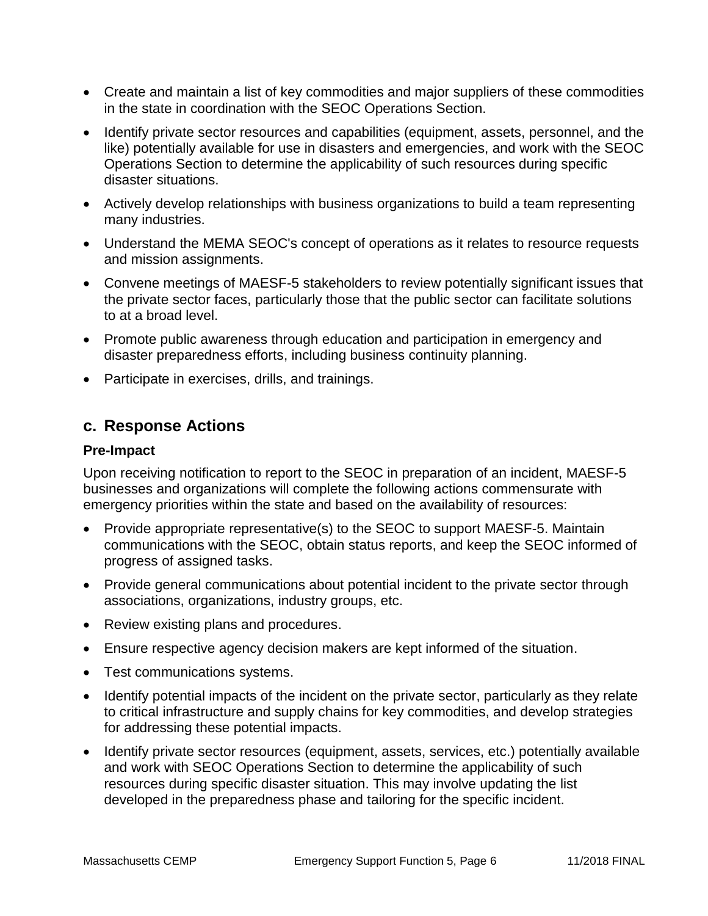- Create and maintain a list of key commodities and major suppliers of these commodities in the state in coordination with the SEOC Operations Section.
- Identify private sector resources and capabilities (equipment, assets, personnel, and the like) potentially available for use in disasters and emergencies, and work with the SEOC Operations Section to determine the applicability of such resources during specific disaster situations.
- Actively develop relationships with business organizations to build a team representing many industries.
- Understand the MEMA SEOC's concept of operations as it relates to resource requests and mission assignments.
- Convene meetings of MAESF-5 stakeholders to review potentially significant issues that the private sector faces, particularly those that the public sector can facilitate solutions to at a broad level.
- Promote public awareness through education and participation in emergency and disaster preparedness efforts, including business continuity planning.
- Participate in exercises, drills, and trainings.

#### **c. Response Actions**

#### **Pre-Impact**

Upon receiving notification to report to the SEOC in preparation of an incident, MAESF-5 businesses and organizations will complete the following actions commensurate with emergency priorities within the state and based on the availability of resources:

- Provide appropriate representative(s) to the SEOC to support MAESF-5. Maintain communications with the SEOC, obtain status reports, and keep the SEOC informed of progress of assigned tasks.
- Provide general communications about potential incident to the private sector through associations, organizations, industry groups, etc.
- Review existing plans and procedures.
- Ensure respective agency decision makers are kept informed of the situation.
- Test communications systems.
- Identify potential impacts of the incident on the private sector, particularly as they relate to critical infrastructure and supply chains for key commodities, and develop strategies for addressing these potential impacts.
- Identify private sector resources (equipment, assets, services, etc.) potentially available and work with SEOC Operations Section to determine the applicability of such resources during specific disaster situation. This may involve updating the list developed in the preparedness phase and tailoring for the specific incident.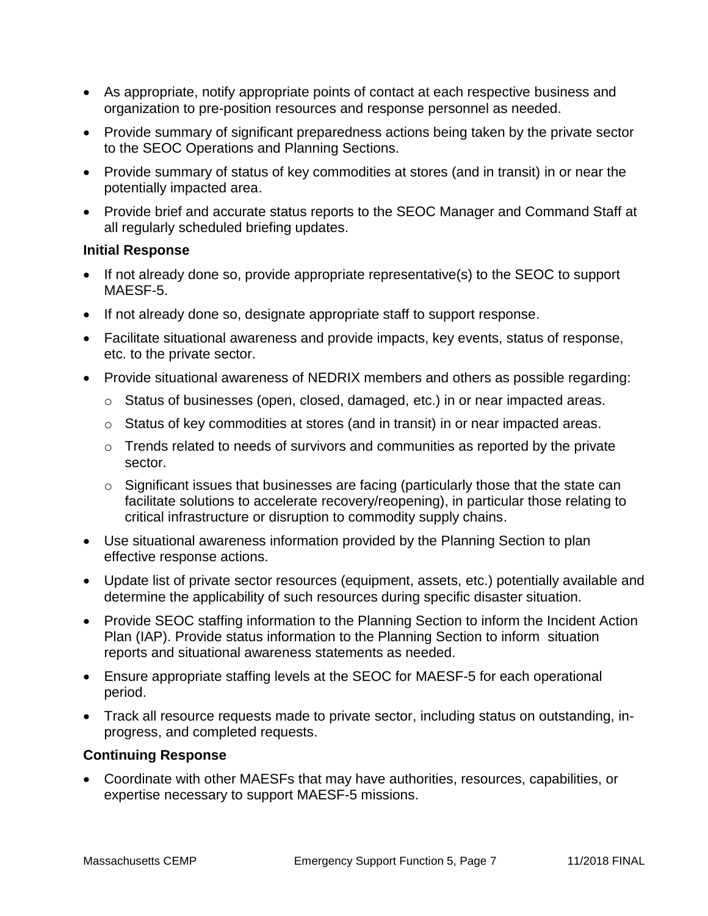- As appropriate, notify appropriate points of contact at each respective business and organization to pre-position resources and response personnel as needed.
- Provide summary of significant preparedness actions being taken by the private sector to the SEOC Operations and Planning Sections.
- Provide summary of status of key commodities at stores (and in transit) in or near the potentially impacted area.
- Provide brief and accurate status reports to the SEOC Manager and Command Staff at all regularly scheduled briefing updates.

#### **Initial Response**

- If not already done so, provide appropriate representative(s) to the SEOC to support MAESF-5.
- If not already done so, designate appropriate staff to support response.
- Facilitate situational awareness and provide impacts, key events, status of response, etc. to the private sector.
- Provide situational awareness of NEDRIX members and others as possible regarding:
	- o Status of businesses (open, closed, damaged, etc.) in or near impacted areas.
	- $\circ$  Status of key commodities at stores (and in transit) in or near impacted areas.
	- o Trends related to needs of survivors and communities as reported by the private sector.
	- o Significant issues that businesses are facing (particularly those that the state can facilitate solutions to accelerate recovery/reopening), in particular those relating to critical infrastructure or disruption to commodity supply chains.
- Use situational awareness information provided by the Planning Section to plan effective response actions.
- Update list of private sector resources (equipment, assets, etc.) potentially available and determine the applicability of such resources during specific disaster situation.
- Provide SEOC staffing information to the Planning Section to inform the Incident Action Plan (IAP). Provide status information to the Planning Section to inform situation reports and situational awareness statements as needed.
- Ensure appropriate staffing levels at the SEOC for MAESF-5 for each operational period.
- Track all resource requests made to private sector, including status on outstanding, inprogress, and completed requests.

#### **Continuing Response**

 Coordinate with other MAESFs that may have authorities, resources, capabilities, or expertise necessary to support MAESF-5 missions.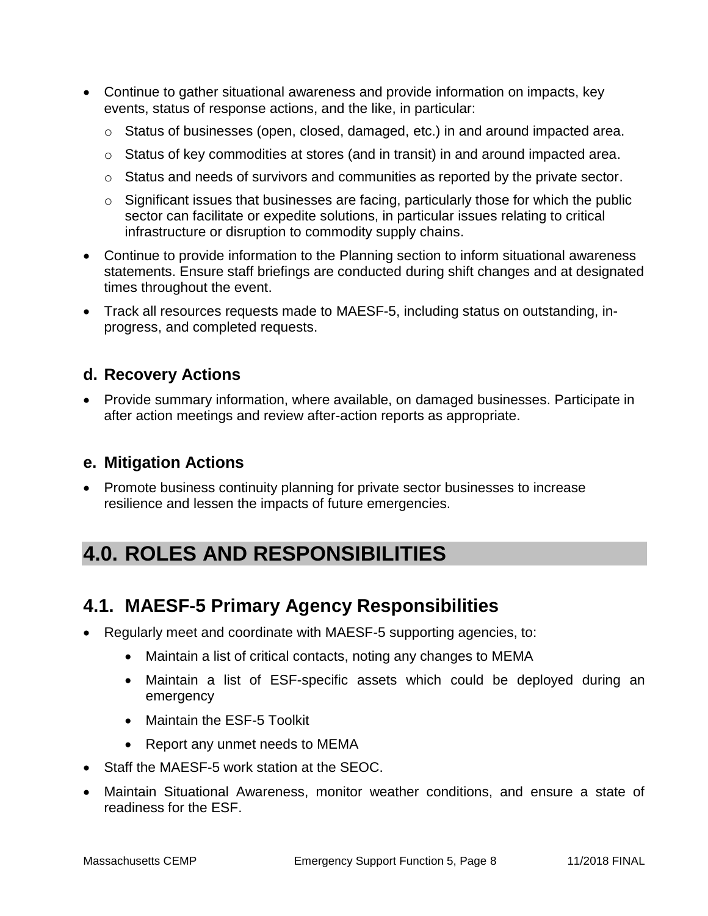- Continue to gather situational awareness and provide information on impacts, key events, status of response actions, and the like, in particular:
	- $\circ$  Status of businesses (open, closed, damaged, etc.) in and around impacted area.
	- o Status of key commodities at stores (and in transit) in and around impacted area.
	- o Status and needs of survivors and communities as reported by the private sector.
	- o Significant issues that businesses are facing, particularly those for which the public sector can facilitate or expedite solutions, in particular issues relating to critical infrastructure or disruption to commodity supply chains.
- Continue to provide information to the Planning section to inform situational awareness statements. Ensure staff briefings are conducted during shift changes and at designated times throughout the event.
- Track all resources requests made to MAESF-5, including status on outstanding, inprogress, and completed requests.

### **d. Recovery Actions**

 Provide summary information, where available, on damaged businesses. Participate in after action meetings and review after-action reports as appropriate.

### **e. Mitigation Actions**

 Promote business continuity planning for private sector businesses to increase resilience and lessen the impacts of future emergencies.

## **4.0. ROLES AND RESPONSIBILITIES**

### **4.1. MAESF-5 Primary Agency Responsibilities**

- Regularly meet and coordinate with MAESF-5 supporting agencies, to:
	- Maintain a list of critical contacts, noting any changes to MEMA
	- Maintain a list of ESF-specific assets which could be deployed during an emergency
	- Maintain the ESF-5 Toolkit
	- Report any unmet needs to MEMA
- Staff the MAESF-5 work station at the SEOC.
- Maintain Situational Awareness, monitor weather conditions, and ensure a state of readiness for the ESF.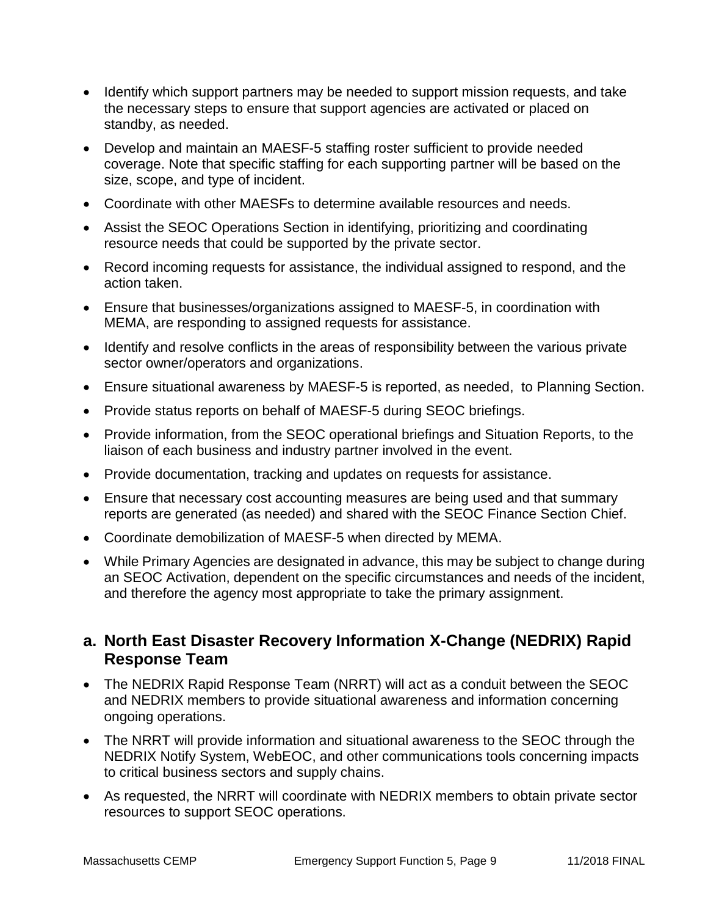- Identify which support partners may be needed to support mission requests, and take the necessary steps to ensure that support agencies are activated or placed on standby, as needed.
- Develop and maintain an MAESF-5 staffing roster sufficient to provide needed coverage. Note that specific staffing for each supporting partner will be based on the size, scope, and type of incident.
- Coordinate with other MAESFs to determine available resources and needs.
- Assist the SEOC Operations Section in identifying, prioritizing and coordinating resource needs that could be supported by the private sector.
- Record incoming requests for assistance, the individual assigned to respond, and the action taken.
- Ensure that businesses/organizations assigned to MAESF-5, in coordination with MEMA, are responding to assigned requests for assistance.
- Identify and resolve conflicts in the areas of responsibility between the various private sector owner/operators and organizations.
- Ensure situational awareness by MAESF-5 is reported, as needed, to Planning Section.
- Provide status reports on behalf of MAESF-5 during SEOC briefings.
- Provide information, from the SEOC operational briefings and Situation Reports, to the liaison of each business and industry partner involved in the event.
- Provide documentation, tracking and updates on requests for assistance.
- Ensure that necessary cost accounting measures are being used and that summary reports are generated (as needed) and shared with the SEOC Finance Section Chief.
- Coordinate demobilization of MAESF-5 when directed by MEMA.
- While Primary Agencies are designated in advance, this may be subject to change during an SEOC Activation, dependent on the specific circumstances and needs of the incident, and therefore the agency most appropriate to take the primary assignment.

### **a. North East Disaster Recovery Information X-Change (NEDRIX) Rapid Response Team**

- The NEDRIX Rapid Response Team (NRRT) will act as a conduit between the SEOC and NEDRIX members to provide situational awareness and information concerning ongoing operations.
- The NRRT will provide information and situational awareness to the SEOC through the NEDRIX Notify System, WebEOC, and other communications tools concerning impacts to critical business sectors and supply chains.
- As requested, the NRRT will coordinate with NEDRIX members to obtain private sector resources to support SEOC operations.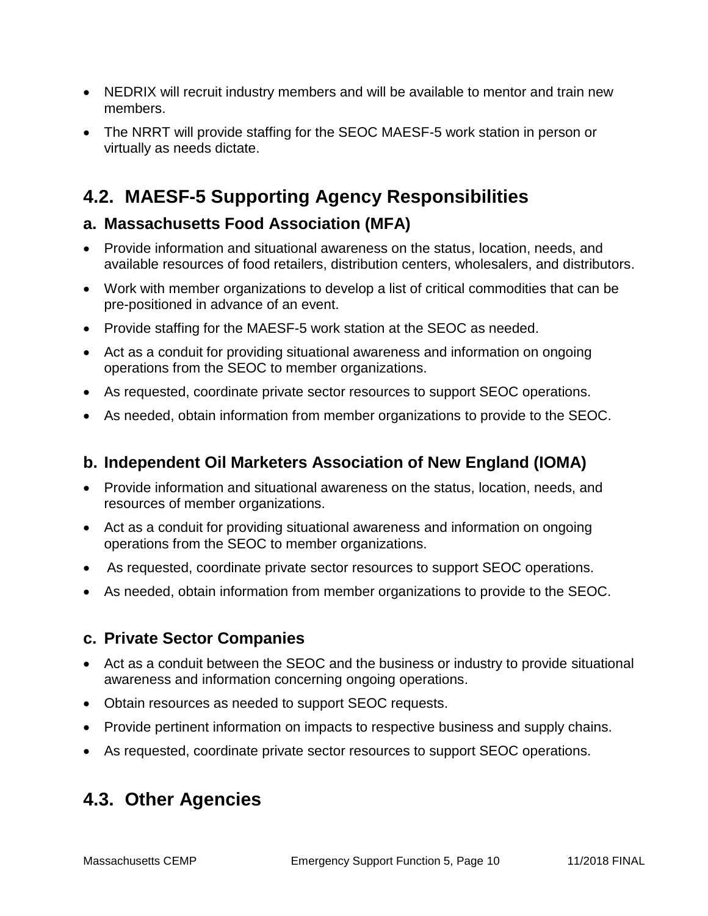- NEDRIX will recruit industry members and will be available to mentor and train new members.
- The NRRT will provide staffing for the SEOC MAESF-5 work station in person or virtually as needs dictate.

## **4.2. MAESF-5 Supporting Agency Responsibilities**

### **a. Massachusetts Food Association (MFA)**

- Provide information and situational awareness on the status, location, needs, and available resources of food retailers, distribution centers, wholesalers, and distributors.
- Work with member organizations to develop a list of critical commodities that can be pre-positioned in advance of an event.
- Provide staffing for the MAESF-5 work station at the SEOC as needed.
- Act as a conduit for providing situational awareness and information on ongoing operations from the SEOC to member organizations.
- As requested, coordinate private sector resources to support SEOC operations.
- As needed, obtain information from member organizations to provide to the SEOC.

### **b. Independent Oil Marketers Association of New England (IOMA)**

- Provide information and situational awareness on the status, location, needs, and resources of member organizations.
- Act as a conduit for providing situational awareness and information on ongoing operations from the SEOC to member organizations.
- As requested, coordinate private sector resources to support SEOC operations.
- As needed, obtain information from member organizations to provide to the SEOC.

### **c. Private Sector Companies**

- Act as a conduit between the SEOC and the business or industry to provide situational awareness and information concerning ongoing operations.
- Obtain resources as needed to support SEOC requests.
- Provide pertinent information on impacts to respective business and supply chains.
- As requested, coordinate private sector resources to support SEOC operations.

### **4.3. Other Agencies**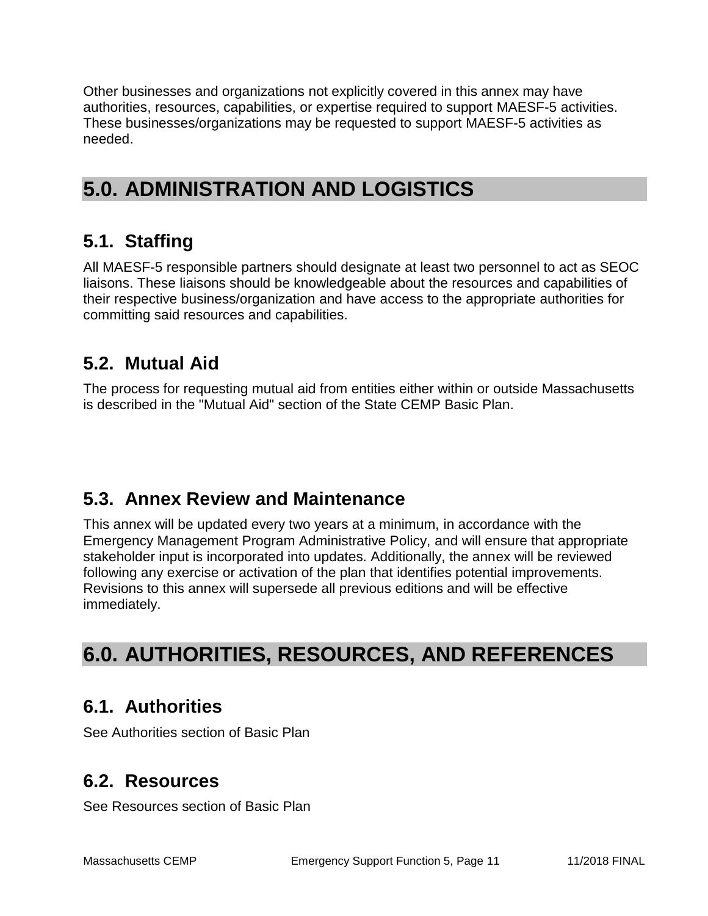Other businesses and organizations not explicitly covered in this annex may have authorities, resources, capabilities, or expertise required to support MAESF-5 activities. These businesses/organizations may be requested to support MAESF-5 activities as needed.

# **5.0. ADMINISTRATION AND LOGISTICS**

## **5.1. Staffing**

All MAESF-5 responsible partners should designate at least two personnel to act as SEOC liaisons. These liaisons should be knowledgeable about the resources and capabilities of their respective business/organization and have access to the appropriate authorities for committing said resources and capabilities.

### **5.2. Mutual Aid**

The process for requesting mutual aid from entities either within or outside Massachusetts is described in the "Mutual Aid" section of the State CEMP Basic Plan.

### **5.3. Annex Review and Maintenance**

This annex will be updated every two years at a minimum, in accordance with the Emergency Management Program Administrative Policy, and will ensure that appropriate stakeholder input is incorporated into updates. Additionally, the annex will be reviewed following any exercise or activation of the plan that identifies potential improvements. Revisions to this annex will supersede all previous editions and will be effective immediately.

## **6.0. AUTHORITIES, RESOURCES, AND REFERENCES**

### **6.1. Authorities**

See Authorities section of Basic Plan

### **6.2. Resources**

See Resources section of Basic Plan